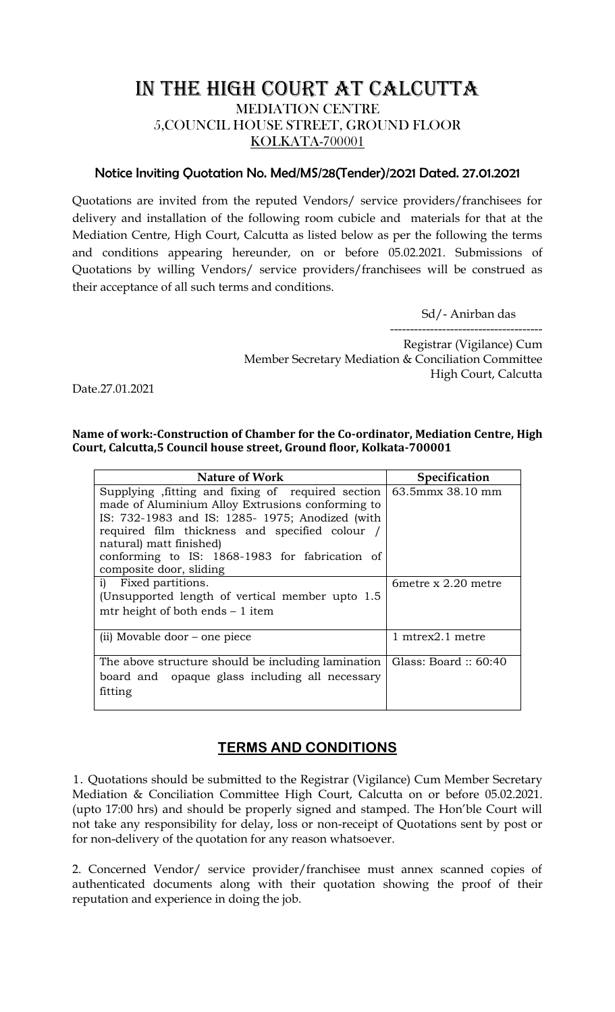## IN THE HIGH COURT AT CALCUTTA MEDIATION CENTRE 5,COUNCIL HOUSE STREET, GROUND FLOOR KOLKATA-700001

## Notice Inviting Quotation No. Med/MS/28(Tender)/2021 Dated. 27.01.2021

Quotations are invited from the reputed Vendors/ service providers/franchisees for delivery and installation of the following room cubicle and materials for that at the Mediation Centre, High Court, Calcutta as listed below as per the following the terms and conditions appearing hereunder, on or before 05.02.2021. Submissions of Quotations by willing Vendors/ service providers/franchisees will be construed as their acceptance of all such terms and conditions.

Sd/- Anirban das

-------------------------------------- Registrar (Vigilance) Cum Member Secretary Mediation & Conciliation Committee High Court, Calcutta

Date.27.01.2021

## **Name of work:-Construction of Chamber for the Co-ordinator, Mediation Centre, High Court, Calcutta,5 Council house street, Ground floor, Kolkata-700001**

| Nature of Work                                     | <b>Specification</b>                    |
|----------------------------------------------------|-----------------------------------------|
| Supplying fitting and fixing of required section   | 63.5mmx 38.10 mm                        |
| made of Aluminium Alloy Extrusions conforming to   |                                         |
| IS: 732-1983 and IS: 1285-1975; Anodized (with     |                                         |
| required film thickness and specified colour /     |                                         |
| natural) matt finished)                            |                                         |
| conforming to IS: 1868-1983 for fabrication of     |                                         |
| composite door, sliding                            |                                         |
| i) Fixed partitions.                               | 6 metre $x$ 2.20 metre                  |
| (Unsupported length of vertical member upto 1.5)   |                                         |
| mtr height of both ends $-1$ item                  |                                         |
|                                                    |                                         |
| (ii) Movable door – one piece                      | $1 \text{ m}$ trex $2.1 \text{ m}$ etre |
|                                                    |                                         |
| The above structure should be including lamination | Glass: Board $\therefore$ 60:40         |
| board and opaque glass including all necessary     |                                         |
| fitting                                            |                                         |
|                                                    |                                         |

## **TERMS AND CONDITIONS**

1. Quotations should be submitted to the Registrar (Vigilance) Cum Member Secretary Mediation & Conciliation Committee High Court, Calcutta on or before 05.02.2021. (upto 17:00 hrs) and should be properly signed and stamped. The Hon'ble Court will not take any responsibility for delay, loss or non-receipt of Quotations sent by post or for non-delivery of the quotation for any reason whatsoever.

2. Concerned Vendor/ service provider/franchisee must annex scanned copies of authenticated documents along with their quotation showing the proof of their reputation and experience in doing the job.